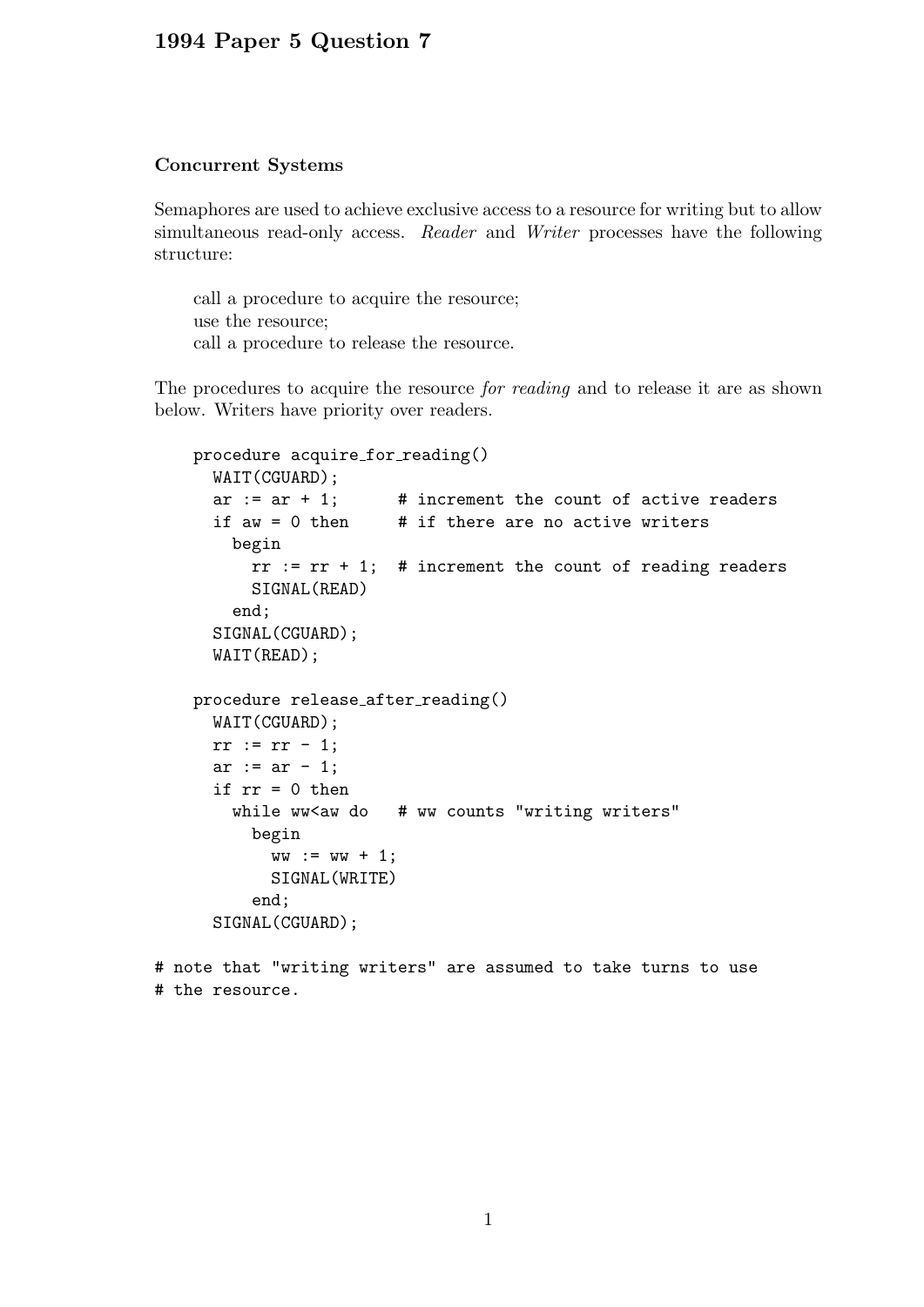## 1994 Paper 5 Question 7

## Concurrent Systems

Semaphores are used to achieve exclusive access to a resource for writing but to allow simultaneous read-only access. Reader and Writer processes have the following structure:

call a procedure to acquire the resource; use the resource; call a procedure to release the resource.

The procedures to acquire the resource *for reading* and to release it are as shown below. Writers have priority over readers.

```
procedure acquire_for_reading()
  WAIT(CGUARD);
  ar := ar + 1; # increment the count of active readers
  if aw = 0 then \# if there are no active writers
    begin
      rr := rr + 1; # increment the count of reading readers
     SIGNAL(READ)
    end;
  SIGNAL(CGUARD);
  WAIT(READ);
procedure release after reading()
  WAIT(CGUARD);
 rr := rr - 1;ar := ar - 1;if rr = 0 then
    while ww<aw do # ww counts "writing writers"
     begin
        ww := ww + 1;SIGNAL(WRITE)
      end;
  SIGNAL(CGUARD);
```

```
# note that "writing writers" are assumed to take turns to use
# the resource.
```